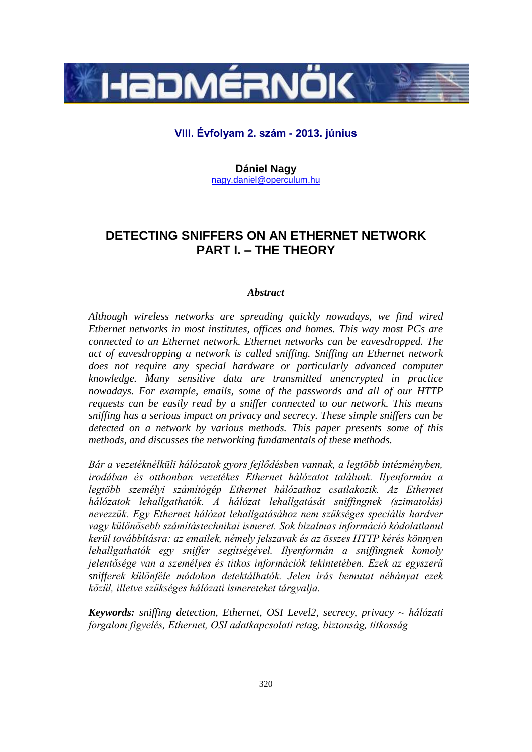

# **VIII. Évfolyam 2. szám - 2013. június**

**Dániel Nagy** [nagy.daniel@operculum.hu](mailto:nagy.daniel@operculum.hu)

# **DETECTING SNIFFERS ON AN ETHERNET NETWORK PART I. – THE THEORY**

# *Abstract*

*Although wireless networks are spreading quickly nowadays, we find wired Ethernet networks in most institutes, offices and homes. This way most PCs are connected to an Ethernet network. Ethernet networks can be eavesdropped. The act of eavesdropping a network is called sniffing. Sniffing an Ethernet network*  does not require any special hardware or particularly advanced computer *knowledge. Many sensitive data are transmitted unencrypted in practice nowadays. For example, emails, some of the passwords and all of our HTTP requests can be easily read by a sniffer connected to our network. This means sniffing has a serious impact on privacy and secrecy. These simple sniffers can be detected on a network by various methods. This paper presents some of this methods, and discusses the networking fundamentals of these methods.*

*Bár a vezetéknélküli hálózatok gyors fejlődésben vannak, a legtöbb intézményben, irodában és otthonban vezetékes Ethernet hálózatot találunk. Ilyenformán a legtöbb személyi számítógép Ethernet hálózathoz csatlakozik. Az Ethernet hálózatok lehallgathatók. A hálózat lehallgatását sniffingnek (szimatolás) nevezzük. Egy Ethernet hálózat lehallgatásához nem szükséges speciális hardver vagy különösebb számítástechnikai ismeret. Sok bizalmas információ kódolatlanul kerül továbbításra: az emailek, némely jelszavak és az összes HTTP kérés könnyen lehallgathatók egy sniffer segítségével. Ilyenformán a sniffingnek komoly jelentősége van a személyes és titkos információk tekintetében. Ezek az egyszerű snifferek különféle módokon detektálhatók. Jelen írás bemutat néhányat ezek közül, illetve szükséges hálózati ismereteket tárgyalja.* 

*Keywords: sniffing detection, Ethernet, OSI Level2, secrecy, privacy ~ hálózati forgalom figyelés, Ethernet, OSI adatkapcsolati retag, biztonság, titkosság*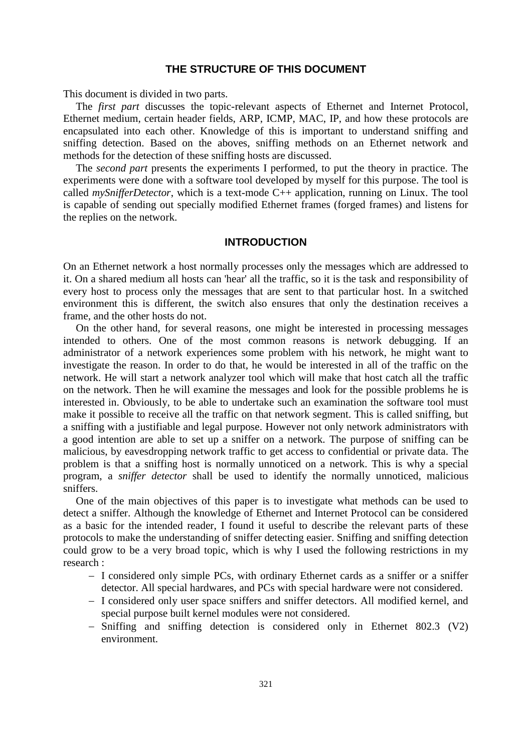# **THE STRUCTURE OF THIS DOCUMENT**

This document is divided in two parts.

The *first part* discusses the topic-relevant aspects of Ethernet and Internet Protocol, Ethernet medium, certain header fields, ARP, ICMP, MAC, IP, and how these protocols are encapsulated into each other. Knowledge of this is important to understand sniffing and sniffing detection. Based on the aboves, sniffing methods on an Ethernet network and methods for the detection of these sniffing hosts are discussed.

The *second part* presents the experiments I performed, to put the theory in practice. The experiments were done with a software tool developed by myself for this purpose. The tool is called *mySnifferDetector*, which is a text-mode C++ application, running on Linux. The tool is capable of sending out specially modified Ethernet frames (forged frames) and listens for the replies on the network.

# **INTRODUCTION**

On an Ethernet network a host normally processes only the messages which are addressed to it. On a shared medium all hosts can 'hear' all the traffic, so it is the task and responsibility of every host to process only the messages that are sent to that particular host. In a switched environment this is different, the switch also ensures that only the destination receives a frame, and the other hosts do not.

On the other hand, for several reasons, one might be interested in processing messages intended to others. One of the most common reasons is network debugging. If an administrator of a network experiences some problem with his network, he might want to investigate the reason. In order to do that, he would be interested in all of the traffic on the network. He will start a network analyzer tool which will make that host catch all the traffic on the network. Then he will examine the messages and look for the possible problems he is interested in. Obviously, to be able to undertake such an examination the software tool must make it possible to receive all the traffic on that network segment. This is called sniffing, but a sniffing with a justifiable and legal purpose. However not only network administrators with a good intention are able to set up a sniffer on a network. The purpose of sniffing can be malicious, by eavesdropping network traffic to get access to confidential or private data. The problem is that a sniffing host is normally unnoticed on a network. This is why a special program, a *sniffer detector* shall be used to identify the normally unnoticed, malicious sniffers.

One of the main objectives of this paper is to investigate what methods can be used to detect a sniffer. Although the knowledge of Ethernet and Internet Protocol can be considered as a basic for the intended reader, I found it useful to describe the relevant parts of these protocols to make the understanding of sniffer detecting easier. Sniffing and sniffing detection could grow to be a very broad topic, which is why I used the following restrictions in my research :

- I considered only simple PCs, with ordinary Ethernet cards as a sniffer or a sniffer detector. All special hardwares, and PCs with special hardware were not considered.
- I considered only user space sniffers and sniffer detectors. All modified kernel, and special purpose built kernel modules were not considered.
- Sniffing and sniffing detection is considered only in Ethernet 802.3 (V2) environment.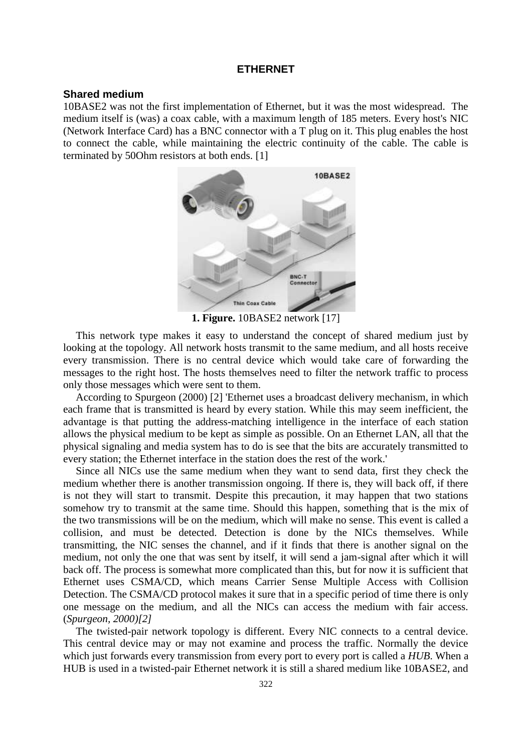## **ETHERNET**

# **Shared medium**

10BASE2 was not the first implementation of Ethernet, but it was the most widespread. The medium itself is (was) a coax cable, with a maximum length of 185 meters. Every host's NIC (Network Interface Card) has a BNC connector with a T plug on it. This plug enables the host to connect the cable, while maintaining the electric continuity of the cable. The cable is terminated by 50Ohm resistors at both ends. [1]



**1. Figure.** 10BASE2 network [17]

This network type makes it easy to understand the concept of shared medium just by looking at the topology. All network hosts transmit to the same medium, and all hosts receive every transmission. There is no central device which would take care of forwarding the messages to the right host. The hosts themselves need to filter the network traffic to process only those messages which were sent to them.

According to Spurgeon (2000) [2] 'Ethernet uses a broadcast delivery mechanism, in which each frame that is transmitted is heard by every station. While this may seem inefficient, the advantage is that putting the address-matching intelligence in the interface of each station allows the physical medium to be kept as simple as possible. On an Ethernet LAN, all that the physical signaling and media system has to do is see that the bits are accurately transmitted to every station; the Ethernet interface in the station does the rest of the work.'

Since all NICs use the same medium when they want to send data, first they check the medium whether there is another transmission ongoing. If there is, they will back off, if there is not they will start to transmit. Despite this precaution, it may happen that two stations somehow try to transmit at the same time. Should this happen, something that is the mix of the two transmissions will be on the medium, which will make no sense. This event is called a collision, and must be detected. Detection is done by the NICs themselves. While transmitting, the NIC senses the channel, and if it finds that there is another signal on the medium, not only the one that was sent by itself, it will send a jam-signal after which it will back off. The process is somewhat more complicated than this, but for now it is sufficient that Ethernet uses CSMA/CD, which means Carrier Sense Multiple Access with Collision Detection. The CSMA/CD protocol makes it sure that in a specific period of time there is only one message on the medium, and all the NICs can access the medium with fair access. (*Spurgeon, 2000)[2]*

The twisted-pair network topology is different. Every NIC connects to a central device. This central device may or may not examine and process the traffic. Normally the device which just forwards every transmission from every port to every port is called a *HUB*. When a HUB is used in a twisted-pair Ethernet network it is still a shared medium like 10BASE2, and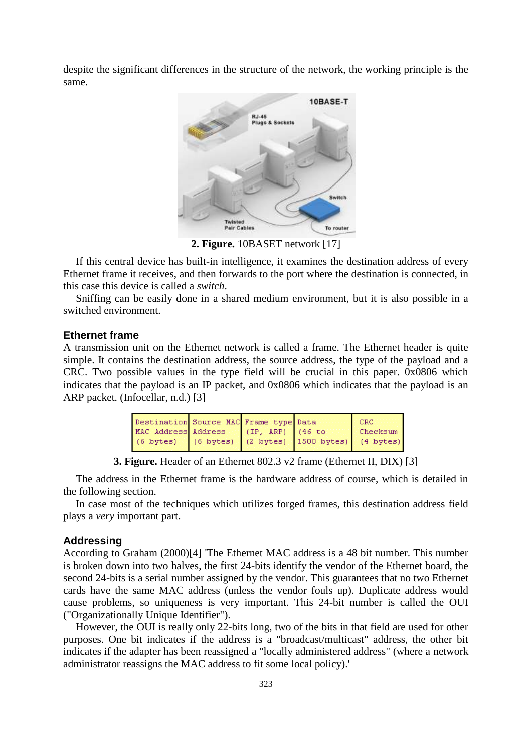despite the significant differences in the structure of the network, the working principle is the same.



**2. Figure.** 10BASET network [17]

If this central device has built-in intelligence, it examines the destination address of every Ethernet frame it receives, and then forwards to the port where the destination is connected, in this case this device is called a *switch*.

Sniffing can be easily done in a shared medium environment, but it is also possible in a switched environment.

## **Ethernet frame**

A transmission unit on the Ethernet network is called a frame. The Ethernet header is quite simple. It contains the destination address, the source address, the type of the payload and a CRC. Two possible values in the type field will be crucial in this paper. 0x0806 which indicates that the payload is an IP packet, and 0x0806 which indicates that the payload is an ARP packet. (Infocellar, n.d.) [3]

| Destination Source MAC Frame type Data              |  | I CRC    |
|-----------------------------------------------------|--|----------|
| MAC Address Address (IP, ARP) (46 to                |  | Checksum |
| (6 bytes) (6 bytes) (2 bytes) 1500 bytes) (4 bytes) |  |          |

**3. Figure.** Header of an Ethernet 802.3 v2 frame (Ethernet II, DIX) [3]

The address in the Ethernet frame is the hardware address of course, which is detailed in the following section.

In case most of the techniques which utilizes forged frames, this destination address field plays a *very* important part.

#### **Addressing**

According to Graham (2000)[4] The Ethernet MAC address is a 48 bit number. This number is broken down into two halves, the first 24-bits identify the vendor of the Ethernet board, the second 24-bits is a serial number assigned by the vendor. This guarantees that no two Ethernet cards have the same MAC address (unless the vendor fouls up). Duplicate address would cause problems, so uniqueness is very important. This 24-bit number is called the OUI ("Organizationally Unique Identifier").

However, the OUI is really only 22-bits long, two of the bits in that field are used for other purposes. One bit indicates if the address is a "broadcast/multicast" address, the other bit indicates if the adapter has been reassigned a "locally administered address" (where a network administrator reassigns the MAC address to fit some local policy).'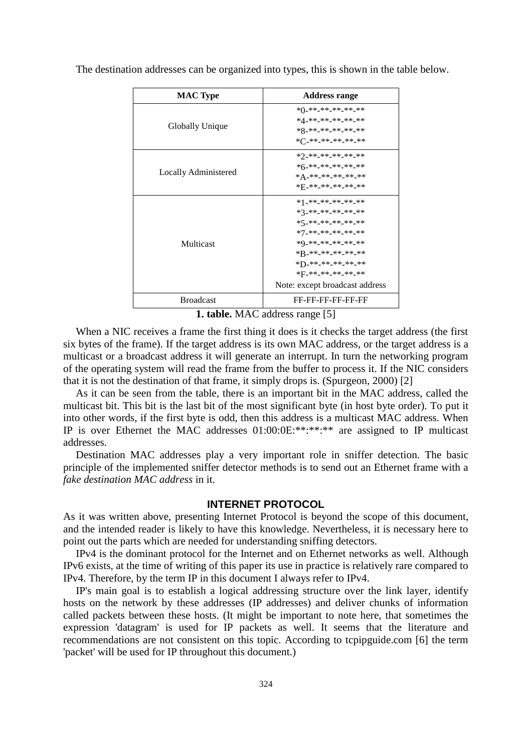The destination addresses can be organized into types, this is shown in the table below.

| <b>MAC Type</b>      | <b>Address range</b>           |
|----------------------|--------------------------------|
|                      | *()_**_**_**_**_**             |
|                      | *4_**_**_**_**_**              |
| Globally Unique      | *8_**_**_**_**_**              |
|                      | *('_**_**_**_**_**             |
|                      | *2_**_**_**_**_**              |
|                      | *6-**-**-**-**-**              |
| Locally Administered | * A_**_**_**_**_**             |
|                      | *F_**_**_**_**_**              |
|                      | *1_**_**_**_**_**              |
|                      | *3_**_**_**_**_**              |
|                      | *5_**_**_**_**_**              |
|                      | *7_**_**_**_**_**              |
| Multicast            | *0_**_**_**_**_**              |
|                      | *B_**_**_**_**_**              |
|                      | *D_**_**_**_**_**              |
|                      | *F_**_**_**_**_**              |
|                      | Note: except broadcast address |
| <b>Broadcast</b>     | FF-FF-FF-FF-FF-FF              |

**1. table.** MAC address range [5]

When a NIC receives a frame the first thing it does is it checks the target address (the first six bytes of the frame). If the target address is its own MAC address, or the target address is a multicast or a broadcast address it will generate an interrupt. In turn the networking program of the operating system will read the frame from the buffer to process it. If the NIC considers that it is not the destination of that frame, it simply drops is. (Spurgeon, 2000) [2]

As it can be seen from the table, there is an important bit in the MAC address, called the multicast bit. This bit is the last bit of the most significant byte (in host byte order). To put it into other words, if the first byte is odd, then this address is a multicast MAC address. When IP is over Ethernet the MAC addresses 01:00:0E:\*\*:\*\*:\*\* are assigned to IP multicast addresses.

Destination MAC addresses play a very important role in sniffer detection. The basic principle of the implemented sniffer detector methods is to send out an Ethernet frame with a *fake destination MAC address* in it.

## **INTERNET PROTOCOL**

As it was written above, presenting Internet Protocol is beyond the scope of this document, and the intended reader is likely to have this knowledge. Nevertheless, it is necessary here to point out the parts which are needed for understanding sniffing detectors.

IPv4 is the dominant protocol for the Internet and on Ethernet networks as well. Although IPv6 exists, at the time of writing of this paper its use in practice is relatively rare compared to IPv4. Therefore, by the term IP in this document I always refer to IPv4.

IP's main goal is to establish a logical addressing structure over the link layer, identify hosts on the network by these addresses (IP addresses) and deliver chunks of information called packets between these hosts. (It might be important to note here, that sometimes the expression 'datagram' is used for IP packets as well. It seems that the literature and recommendations are not consistent on this topic. According to tcpipguide.com [6] the term 'packet' will be used for IP throughout this document.)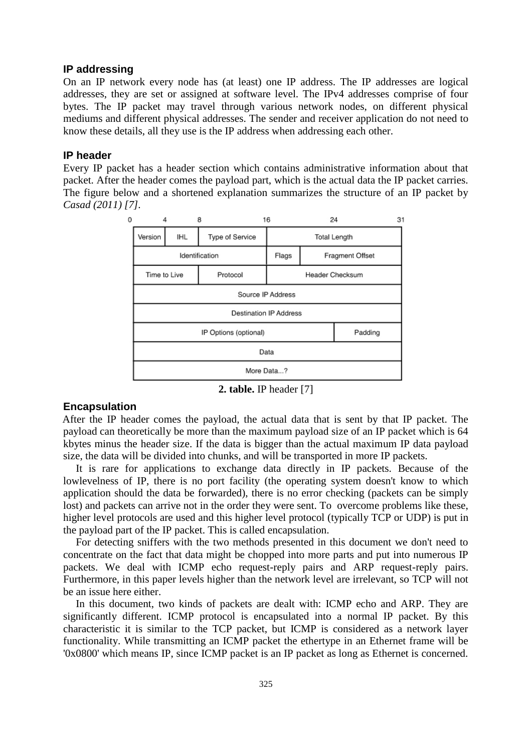## **IP addressing**

On an IP network every node has (at least) one IP address. The IP addresses are logical addresses, they are set or assigned at software level. The IPv4 addresses comprise of four bytes. The IP packet may travel through various network nodes, on different physical mediums and different physical addresses. The sender and receiver application do not need to know these details, all they use is the IP address when addressing each other.

# **IP header**

Every IP packet has a header section which contains administrative information about that packet. After the header comes the payload part, which is the actual data the IP packet carries. The figure below and a shortened explanation summarizes the structure of an IP packet by *Casad (2011) [7].*



**2. table.** IP header [7]

# **Encapsulation**

After the IP header comes the payload, the actual data that is sent by that IP packet. The payload can theoretically be more than the maximum payload size of an IP packet which is 64 kbytes minus the header size. If the data is bigger than the actual maximum IP data payload size, the data will be divided into chunks, and will be transported in more IP packets.

It is rare for applications to exchange data directly in IP packets. Because of the lowlevelness of IP, there is no port facility (the operating system doesn't know to which application should the data be forwarded), there is no error checking (packets can be simply lost) and packets can arrive not in the order they were sent. To overcome problems like these, higher level protocols are used and this higher level protocol (typically TCP or UDP) is put in the payload part of the IP packet. This is called encapsulation.

For detecting sniffers with the two methods presented in this document we don't need to concentrate on the fact that data might be chopped into more parts and put into numerous IP packets. We deal with ICMP echo request-reply pairs and ARP request-reply pairs. Furthermore, in this paper levels higher than the network level are irrelevant, so TCP will not be an issue here either.

In this document, two kinds of packets are dealt with: ICMP echo and ARP. They are significantly different. ICMP protocol is encapsulated into a normal IP packet. By this characteristic it is similar to the TCP packet, but ICMP is considered as a network layer functionality. While transmitting an ICMP packet the ethertype in an Ethernet frame will be '0x0800' which means IP, since ICMP packet is an IP packet as long as Ethernet is concerned.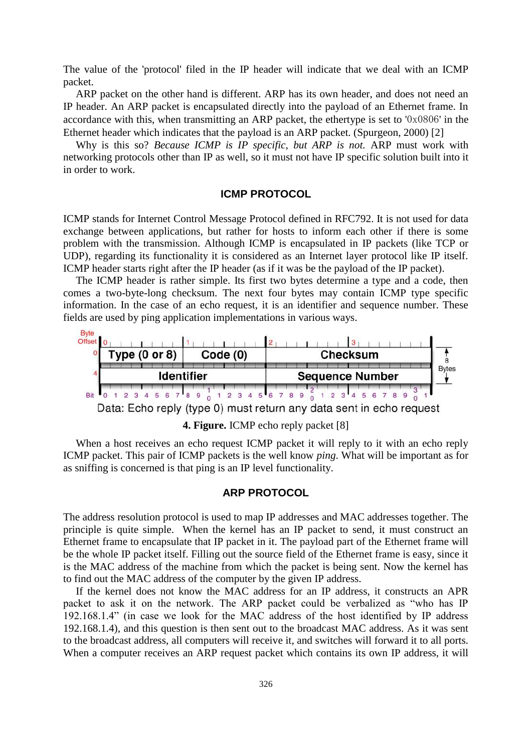The value of the 'protocol' filed in the IP header will indicate that we deal with an ICMP packet.

ARP packet on the other hand is different. ARP has its own header, and does not need an IP header. An ARP packet is encapsulated directly into the payload of an Ethernet frame. In accordance with this, when transmitting an ARP packet, the ethertype is set to '0x0806' in the Ethernet header which indicates that the payload is an ARP packet. (Spurgeon, 2000) [2]

Why is this so? *Because ICMP is IP specific, but ARP is not.* ARP must work with networking protocols other than IP as well, so it must not have IP specific solution built into it in order to work.

## **ICMP PROTOCOL**

ICMP stands for Internet Control Message Protocol defined in RFC792. It is not used for data exchange between applications, but rather for hosts to inform each other if there is some problem with the transmission. Although ICMP is encapsulated in IP packets (like TCP or UDP), regarding its functionality it is considered as an Internet layer protocol like IP itself. ICMP header starts right after the IP header (as if it was be the payload of the IP packet).

The ICMP header is rather simple. Its first two bytes determine a type and a code, then comes a two-byte-long checksum. The next four bytes may contain ICMP type specific information. In the case of an echo request, it is an identifier and sequence number. These fields are used by ping application implementations in various ways.



**4. Figure.** ICMP echo reply packet [8]

When a host receives an echo request ICMP packet it will reply to it with an echo reply ICMP packet. This pair of ICMP packets is the well know *ping*. What will be important as for as sniffing is concerned is that ping is an IP level functionality.

#### **ARP PROTOCOL**

The address resolution protocol is used to map IP addresses and MAC addresses together. The principle is quite simple. When the kernel has an IP packet to send, it must construct an Ethernet frame to encapsulate that IP packet in it. The payload part of the Ethernet frame will be the whole IP packet itself. Filling out the source field of the Ethernet frame is easy, since it is the MAC address of the machine from which the packet is being sent. Now the kernel has to find out the MAC address of the computer by the given IP address.

If the kernel does not know the MAC address for an IP address, it constructs an APR packet to ask it on the network. The ARP packet could be verbalized as "who has IP 192.168.1.4" (in case we look for the MAC address of the host identified by IP address 192.168.1.4), and this question is then sent out to the broadcast MAC address. As it was sent to the broadcast address, all computers will receive it, and switches will forward it to all ports. When a computer receives an ARP request packet which contains its own IP address, it will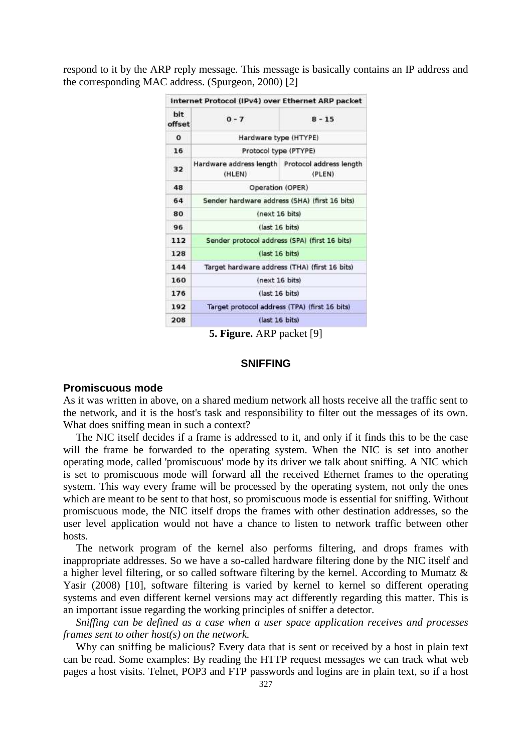respond to it by the ARP reply message. This message is basically contains an IP address and the corresponding MAC address. (Spurgeon, 2000) [2]

|               | Internet Protocol (IPv4) over Ethernet ARP packet         |                       |  |  |
|---------------|-----------------------------------------------------------|-----------------------|--|--|
| bit<br>offset | $0 - 7$                                                   | $8 - 15$              |  |  |
| $\Omega$      | Hardware type (HTYPE)                                     |                       |  |  |
| 16            |                                                           | Protocol type (PTYPE) |  |  |
| 32            | Hardware address length Protocol address length<br>(HLEN) | (PLEN)                |  |  |
| 48            | Operation (OPER)                                          |                       |  |  |
| 64            | Sender hardware address (SHA) (first 16 bits)             |                       |  |  |
| 80            | (next 16 bits)                                            |                       |  |  |
| 96            | (last 16 bits)                                            |                       |  |  |
| 112           | Sender protocol address (SPA) (first 16 bits)             |                       |  |  |
| 128           | (last 16 bits)                                            |                       |  |  |
| 144           | Target hardware address (THA) (first 16 bits)             |                       |  |  |
| 160           | (next 16 bits)                                            |                       |  |  |
| 176           | (last 16 bits)                                            |                       |  |  |
| 192           | Target protocol address (TPA) (first 16 bits)             |                       |  |  |
| 208           | (last 16 bits)                                            |                       |  |  |

**5. Figure.** ARP packet [9]

# **SNIFFING**

## **Promiscuous mode**

As it was written in above, on a shared medium network all hosts receive all the traffic sent to the network, and it is the host's task and responsibility to filter out the messages of its own. What does sniffing mean in such a context?

The NIC itself decides if a frame is addressed to it, and only if it finds this to be the case will the frame be forwarded to the operating system. When the NIC is set into another operating mode, called 'promiscuous' mode by its driver we talk about sniffing. A NIC which is set to promiscuous mode will forward all the received Ethernet frames to the operating system. This way every frame will be processed by the operating system, not only the ones which are meant to be sent to that host, so promiscuous mode is essential for sniffing. Without promiscuous mode, the NIC itself drops the frames with other destination addresses, so the user level application would not have a chance to listen to network traffic between other hosts.

The network program of the kernel also performs filtering, and drops frames with inappropriate addresses. So we have a so-called hardware filtering done by the NIC itself and a higher level filtering, or so called software filtering by the kernel. According to Mumatz & Yasir (2008) [10], software filtering is varied by kernel to kernel so different operating systems and even different kernel versions may act differently regarding this matter. This is an important issue regarding the working principles of sniffer a detector.

*Sniffing can be defined as a case when a user space application receives and processes frames sent to other host(s) on the network.* 

Why can sniffing be malicious? Every data that is sent or received by a host in plain text can be read. Some examples: By reading the HTTP request messages we can track what web pages a host visits. Telnet, POP3 and FTP passwords and logins are in plain text, so if a host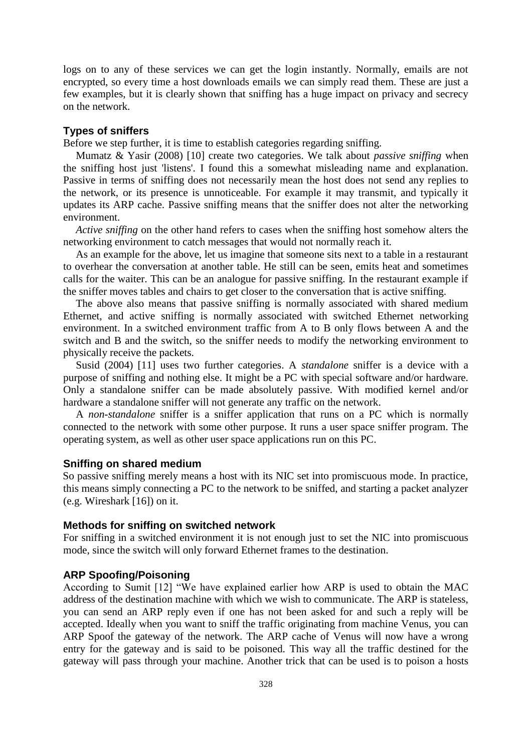logs on to any of these services we can get the login instantly. Normally, emails are not encrypted, so every time a host downloads emails we can simply read them. These are just a few examples, but it is clearly shown that sniffing has a huge impact on privacy and secrecy on the network.

## **Types of sniffers**

Before we step further, it is time to establish categories regarding sniffing.

Mumatz & Yasir (2008) [10] create two categories. We talk about *passive sniffing* when the sniffing host just 'listens'. I found this a somewhat misleading name and explanation. Passive in terms of sniffing does not necessarily mean the host does not send any replies to the network, or its presence is unnoticeable. For example it may transmit, and typically it updates its ARP cache. Passive sniffing means that the sniffer does not alter the networking environment.

*Active sniffing* on the other hand refers to cases when the sniffing host somehow alters the networking environment to catch messages that would not normally reach it.

As an example for the above, let us imagine that someone sits next to a table in a restaurant to overhear the conversation at another table. He still can be seen, emits heat and sometimes calls for the waiter. This can be an analogue for passive sniffing. In the restaurant example if the sniffer moves tables and chairs to get closer to the conversation that is active sniffing.

The above also means that passive sniffing is normally associated with shared medium Ethernet, and active sniffing is normally associated with switched Ethernet networking environment. In a switched environment traffic from A to B only flows between A and the switch and B and the switch, so the sniffer needs to modify the networking environment to physically receive the packets.

Susid (2004) [11] uses two further categories. A *standalone* sniffer is a device with a purpose of sniffing and nothing else. It might be a PC with special software and/or hardware. Only a standalone sniffer can be made absolutely passive. With modified kernel and/or hardware a standalone sniffer will not generate any traffic on the network.

A *non-standalone* sniffer is a sniffer application that runs on a PC which is normally connected to the network with some other purpose. It runs a user space sniffer program. The operating system, as well as other user space applications run on this PC.

#### **Sniffing on shared medium**

So passive sniffing merely means a host with its NIC set into promiscuous mode. In practice, this means simply connecting a PC to the network to be sniffed, and starting a packet analyzer (e.g. Wireshark [16]) on it.

## **Methods for sniffing on switched network**

For sniffing in a switched environment it is not enough just to set the NIC into promiscuous mode, since the switch will only forward Ethernet frames to the destination.

# **ARP Spoofing/Poisoning**

According to Sumit [12] "We have explained earlier how ARP is used to obtain the MAC address of the destination machine with which we wish to communicate. The ARP is stateless, you can send an ARP reply even if one has not been asked for and such a reply will be accepted. Ideally when you want to sniff the traffic originating from machine Venus, you can ARP Spoof the gateway of the network. The ARP cache of Venus will now have a wrong entry for the gateway and is said to be poisoned. This way all the traffic destined for the gateway will pass through your machine. Another trick that can be used is to poison a hosts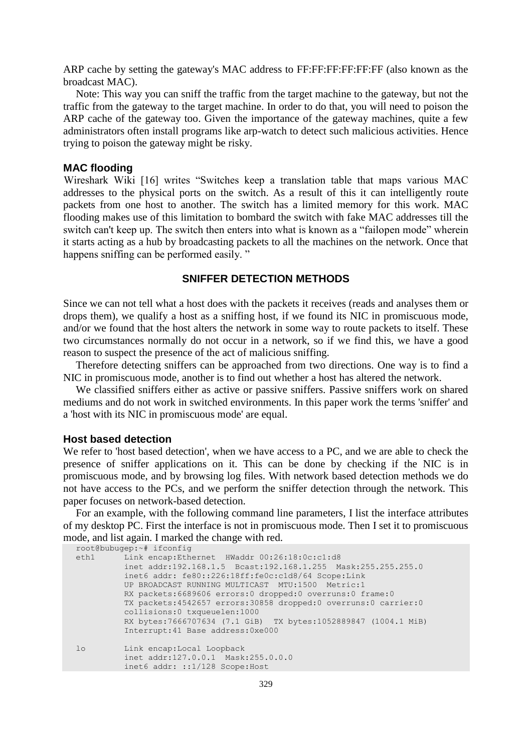ARP cache by setting the gateway's MAC address to FF:FF:FF:FF:FF:FF (also known as the broadcast MAC).

Note: This way you can sniff the traffic from the target machine to the gateway, but not the traffic from the gateway to the target machine. In order to do that, you will need to poison the ARP cache of the gateway too. Given the importance of the gateway machines, quite a few administrators often install programs like arp-watch to detect such malicious activities. Hence trying to poison the gateway might be risky.

## **MAC flooding**

Wireshark Wiki [16] writes "Switches keep a translation table that maps various MAC addresses to the physical ports on the switch. As a result of this it can intelligently route packets from one host to another. The switch has a limited memory for this work. MAC flooding makes use of this limitation to bombard the switch with fake MAC addresses till the switch can't keep up. The switch then enters into what is known as a "failopen mode" wherein it starts acting as a hub by broadcasting packets to all the machines on the network. Once that happens sniffing can be performed easily."

# **SNIFFER DETECTION METHODS**

Since we can not tell what a host does with the packets it receives (reads and analyses them or drops them), we qualify a host as a sniffing host, if we found its NIC in promiscuous mode, and/or we found that the host alters the network in some way to route packets to itself. These two circumstances normally do not occur in a network, so if we find this, we have a good reason to suspect the presence of the act of malicious sniffing.

Therefore detecting sniffers can be approached from two directions. One way is to find a NIC in promiscuous mode, another is to find out whether a host has altered the network.

We classified sniffers either as active or passive sniffers. Passive sniffers work on shared mediums and do not work in switched environments. In this paper work the terms 'sniffer' and a 'host with its NIC in promiscuous mode' are equal.

## **Host based detection**

We refer to 'host based detection', when we have access to a PC, and we are able to check the presence of sniffer applications on it. This can be done by checking if the NIC is in promiscuous mode, and by browsing log files. With network based detection methods we do not have access to the PCs, and we perform the sniffer detection through the network. This paper focuses on network-based detection.

For an example, with the following command line parameters, I list the interface attributes of my desktop PC. First the interface is not in promiscuous mode. Then I set it to promiscuous mode, and list again. I marked the change with red.

```
root@bubugep:~# ifconfig
eth1 Link encap:Ethernet HWaddr 00:26:18:0c:c1:d8 
           inet addr:192.168.1.5 Bcast:192.168.1.255 Mask:255.255.255.0
           inet6 addr: fe80::226:18ff:fe0c:c1d8/64 Scope:Link
          UP BROADCAST RUNNING MULTICAST MTU:1500 Metric:1
          RX packets:6689606 errors:0 dropped:0 overruns:0 frame:0
          TX packets:4542657 errors:30858 dropped:0 overruns:0 carrier:0
          collisions:0 txqueuelen:1000 
          RX bytes:7666707634 (7.1 GiB) TX bytes:1052889847 (1004.1 MiB)
          Interrupt:41 Base address:0xe000 
lo Link encap:Local Loopback 
          inet addr:127.0.0.1 Mask:255.0.0.0
           inet6 addr: ::1/128 Scope:Host
```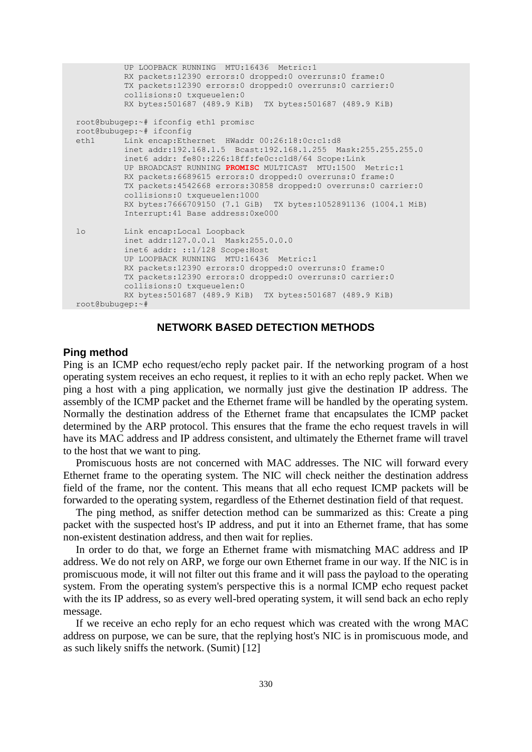```
 UP LOOPBACK RUNNING MTU:16436 Metric:1
           RX packets:12390 errors:0 dropped:0 overruns:0 frame:0
           TX packets:12390 errors:0 dropped:0 overruns:0 carrier:0
           collisions:0 txqueuelen:0 
           RX bytes:501687 (489.9 KiB) TX bytes:501687 (489.9 KiB)
root@bubugep:~# ifconfig eth1 promisc
root@bubugep:~# ifconfig
eth1 Link encap:Ethernet HWaddr 00:26:18:0c:c1:d8 
           inet addr:192.168.1.5 Bcast:192.168.1.255 Mask:255.255.255.0
          inet6 addr: fe80::226:18ff:fe0c:c1d8/64 Scope:Link
          UP BROADCAST RUNNING PROMISC MULTICAST MTU:1500 Metric:1
          RX packets:6689615 errors:0 dropped:0 overruns:0 frame:0
          TX packets:4542668 errors:30858 dropped:0 overruns:0 carrier:0
           collisions:0 txqueuelen:1000 
          RX bytes:7666709150 (7.1 GiB) TX bytes:1052891136 (1004.1 MiB)
          Interrupt:41 Base address:0xe000 
lo Link encap:Local Loopback 
           inet addr:127.0.0.1 Mask:255.0.0.0
           inet6 addr: ::1/128 Scope:Host
          UP LOOPBACK RUNNING MTU:16436 Metric:1
          RX packets:12390 errors:0 dropped:0 overruns:0 frame:0
          TX packets:12390 errors:0 dropped:0 overruns:0 carrier:0
           collisions:0 txqueuelen:0 
           RX bytes:501687 (489.9 KiB) TX bytes:501687 (489.9 KiB)
root@bubugep:~#
```
# **NETWORK BASED DETECTION METHODS**

## **Ping method**

Ping is an ICMP echo request/echo reply packet pair. If the networking program of a host operating system receives an echo request, it replies to it with an echo reply packet. When we ping a host with a ping application, we normally just give the destination IP address. The assembly of the ICMP packet and the Ethernet frame will be handled by the operating system. Normally the destination address of the Ethernet frame that encapsulates the ICMP packet determined by the ARP protocol. This ensures that the frame the echo request travels in will have its MAC address and IP address consistent, and ultimately the Ethernet frame will travel to the host that we want to ping.

Promiscuous hosts are not concerned with MAC addresses. The NIC will forward every Ethernet frame to the operating system. The NIC will check neither the destination address field of the frame, nor the content. This means that all echo request ICMP packets will be forwarded to the operating system, regardless of the Ethernet destination field of that request.

The ping method, as sniffer detection method can be summarized as this: Create a ping packet with the suspected host's IP address, and put it into an Ethernet frame, that has some non-existent destination address, and then wait for replies.

In order to do that, we forge an Ethernet frame with mismatching MAC address and IP address. We do not rely on ARP, we forge our own Ethernet frame in our way. If the NIC is in promiscuous mode, it will not filter out this frame and it will pass the payload to the operating system. From the operating system's perspective this is a normal ICMP echo request packet with the its IP address, so as every well-bred operating system, it will send back an echo reply message.

If we receive an echo reply for an echo request which was created with the wrong MAC address on purpose, we can be sure, that the replying host's NIC is in promiscuous mode, and as such likely sniffs the network. (Sumit) [12]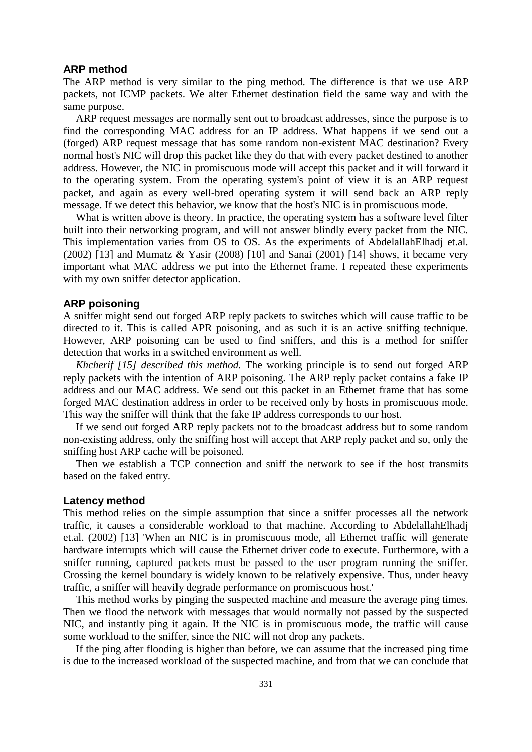#### **ARP method**

The ARP method is very similar to the ping method. The difference is that we use ARP packets, not ICMP packets. We alter Ethernet destination field the same way and with the same purpose.

ARP request messages are normally sent out to broadcast addresses, since the purpose is to find the corresponding MAC address for an IP address. What happens if we send out a (forged) ARP request message that has some random non-existent MAC destination? Every normal host's NIC will drop this packet like they do that with every packet destined to another address. However, the NIC in promiscuous mode will accept this packet and it will forward it to the operating system. From the operating system's point of view it is an ARP request packet, and again as every well-bred operating system it will send back an ARP reply message. If we detect this behavior, we know that the host's NIC is in promiscuous mode.

What is written above is theory. In practice, the operating system has a software level filter built into their networking program, and will not answer blindly every packet from the NIC. This implementation varies from OS to OS. As the experiments of AbdelallahElhadj et.al. (2002) [13] and Mumatz & Yasir (2008) [10] and Sanai (2001) [14] shows, it became very important what MAC address we put into the Ethernet frame. I repeated these experiments with my own sniffer detector application.

## **ARP poisoning**

A sniffer might send out forged ARP reply packets to switches which will cause traffic to be directed to it. This is called APR poisoning, and as such it is an active sniffing technique. However, ARP poisoning can be used to find sniffers, and this is a method for sniffer detection that works in a switched environment as well.

*Khcherif [15] described this method.* The working principle is to send out forged ARP reply packets with the intention of ARP poisoning. The ARP reply packet contains a fake IP address and our MAC address. We send out this packet in an Ethernet frame that has some forged MAC destination address in order to be received only by hosts in promiscuous mode. This way the sniffer will think that the fake IP address corresponds to our host.

If we send out forged ARP reply packets not to the broadcast address but to some random non-existing address, only the sniffing host will accept that ARP reply packet and so, only the sniffing host ARP cache will be poisoned.

Then we establish a TCP connection and sniff the network to see if the host transmits based on the faked entry.

#### **Latency method**

This method relies on the simple assumption that since a sniffer processes all the network traffic, it causes a considerable workload to that machine. According to AbdelallahElhadj et.al. (2002) [13] 'When an NIC is in promiscuous mode, all Ethernet traffic will generate hardware interrupts which will cause the Ethernet driver code to execute. Furthermore, with a sniffer running, captured packets must be passed to the user program running the sniffer. Crossing the kernel boundary is widely known to be relatively expensive. Thus, under heavy traffic, a sniffer will heavily degrade performance on promiscuous host.'

This method works by pinging the suspected machine and measure the average ping times. Then we flood the network with messages that would normally not passed by the suspected NIC, and instantly ping it again. If the NIC is in promiscuous mode, the traffic will cause some workload to the sniffer, since the NIC will not drop any packets.

If the ping after flooding is higher than before, we can assume that the increased ping time is due to the increased workload of the suspected machine, and from that we can conclude that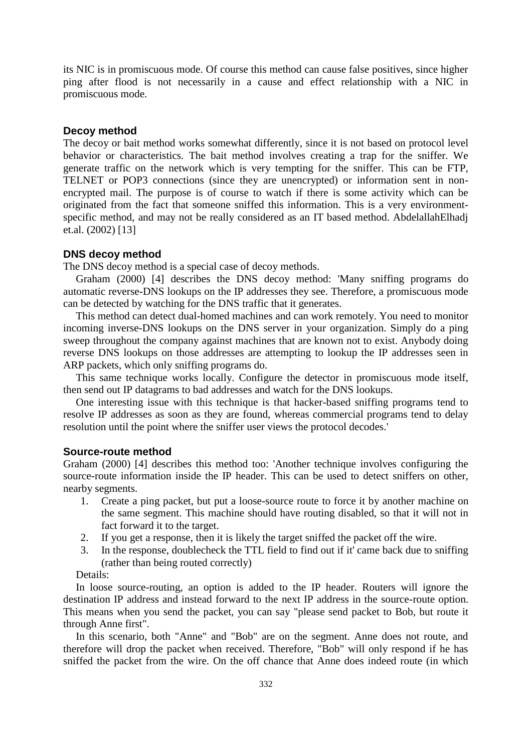its NIC is in promiscuous mode. Of course this method can cause false positives, since higher ping after flood is not necessarily in a cause and effect relationship with a NIC in promiscuous mode.

## **Decoy method**

The decoy or bait method works somewhat differently, since it is not based on protocol level behavior or characteristics. The bait method involves creating a trap for the sniffer. We generate traffic on the network which is very tempting for the sniffer. This can be FTP, TELNET or POP3 connections (since they are unencrypted) or information sent in nonencrypted mail. The purpose is of course to watch if there is some activity which can be originated from the fact that someone sniffed this information. This is a very environmentspecific method, and may not be really considered as an IT based method. AbdelallahElhadj et.al. (2002) [13]

## **DNS decoy method**

The DNS decoy method is a special case of decoy methods.

Graham (2000) [4] describes the DNS decoy method: 'Many sniffing programs do automatic reverse-DNS lookups on the IP addresses they see. Therefore, a promiscuous mode can be detected by watching for the DNS traffic that it generates.

This method can detect dual-homed machines and can work remotely. You need to monitor incoming inverse-DNS lookups on the DNS server in your organization. Simply do a ping sweep throughout the company against machines that are known not to exist. Anybody doing reverse DNS lookups on those addresses are attempting to lookup the IP addresses seen in ARP packets, which only sniffing programs do.

This same technique works locally. Configure the detector in promiscuous mode itself, then send out IP datagrams to bad addresses and watch for the DNS lookups.

One interesting issue with this technique is that hacker-based sniffing programs tend to resolve IP addresses as soon as they are found, whereas commercial programs tend to delay resolution until the point where the sniffer user views the protocol decodes.'

#### **Source-route method**

Graham (2000) [4] describes this method too: 'Another technique involves configuring the source-route information inside the IP header. This can be used to detect sniffers on other, nearby segments.

- 1. Create a ping packet, but put a loose-source route to force it by another machine on the same segment. This machine should have routing disabled, so that it will not in fact forward it to the target.
- 2. If you get a response, then it is likely the target sniffed the packet off the wire.
- 3. In the response, doublecheck the TTL field to find out if it' came back due to sniffing (rather than being routed correctly)

Details:

In loose source-routing, an option is added to the IP header. Routers will ignore the destination IP address and instead forward to the next IP address in the source-route option. This means when you send the packet, you can say "please send packet to Bob, but route it through Anne first".

In this scenario, both "Anne" and "Bob" are on the segment. Anne does not route, and therefore will drop the packet when received. Therefore, "Bob" will only respond if he has sniffed the packet from the wire. On the off chance that Anne does indeed route (in which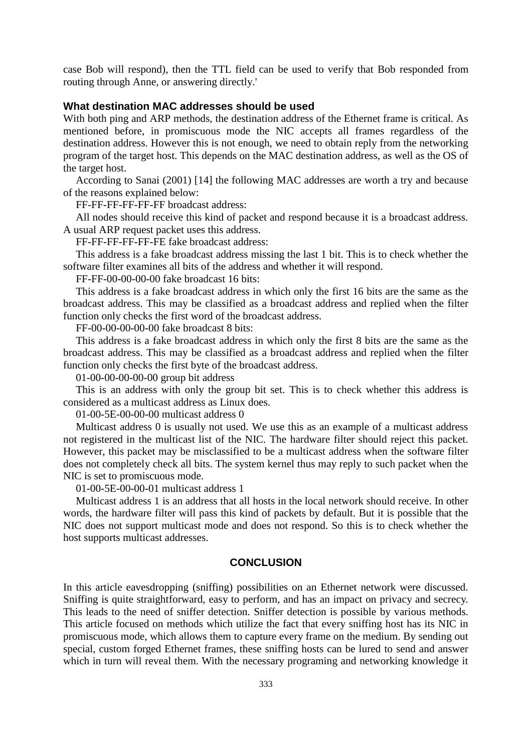case Bob will respond), then the TTL field can be used to verify that Bob responded from routing through Anne, or answering directly.'

## **What destination MAC addresses should be used**

With both ping and ARP methods, the destination address of the Ethernet frame is critical. As mentioned before, in promiscuous mode the NIC accepts all frames regardless of the destination address. However this is not enough, we need to obtain reply from the networking program of the target host. This depends on the MAC destination address, as well as the OS of the target host.

According to Sanai (2001) [14] the following MAC addresses are worth a try and because of the reasons explained below:

FF-FF-FF-FF-FF-FF broadcast address:

All nodes should receive this kind of packet and respond because it is a broadcast address. A usual ARP request packet uses this address.

FF-FF-FF-FF-FF-FE fake broadcast address:

This address is a fake broadcast address missing the last 1 bit. This is to check whether the software filter examines all bits of the address and whether it will respond.

FF-FF-00-00-00-00 fake broadcast 16 bits:

This address is a fake broadcast address in which only the first 16 bits are the same as the broadcast address. This may be classified as a broadcast address and replied when the filter function only checks the first word of the broadcast address.

FF-00-00-00-00-00 fake broadcast 8 bits:

This address is a fake broadcast address in which only the first 8 bits are the same as the broadcast address. This may be classified as a broadcast address and replied when the filter function only checks the first byte of the broadcast address.

01-00-00-00-00-00 group bit address

This is an address with only the group bit set. This is to check whether this address is considered as a multicast address as Linux does.

01-00-5E-00-00-00 multicast address 0

Multicast address 0 is usually not used. We use this as an example of a multicast address not registered in the multicast list of the NIC. The hardware filter should reject this packet. However, this packet may be misclassified to be a multicast address when the software filter does not completely check all bits. The system kernel thus may reply to such packet when the NIC is set to promiscuous mode.

01-00-5E-00-00-01 multicast address 1

Multicast address 1 is an address that all hosts in the local network should receive. In other words, the hardware filter will pass this kind of packets by default. But it is possible that the NIC does not support multicast mode and does not respond. So this is to check whether the host supports multicast addresses.

# **CONCLUSION**

In this article eavesdropping (sniffing) possibilities on an Ethernet network were discussed. Sniffing is quite straightforward, easy to perform, and has an impact on privacy and secrecy. This leads to the need of sniffer detection. Sniffer detection is possible by various methods. This article focused on methods which utilize the fact that every sniffing host has its NIC in promiscuous mode, which allows them to capture every frame on the medium. By sending out special, custom forged Ethernet frames, these sniffing hosts can be lured to send and answer which in turn will reveal them. With the necessary programing and networking knowledge it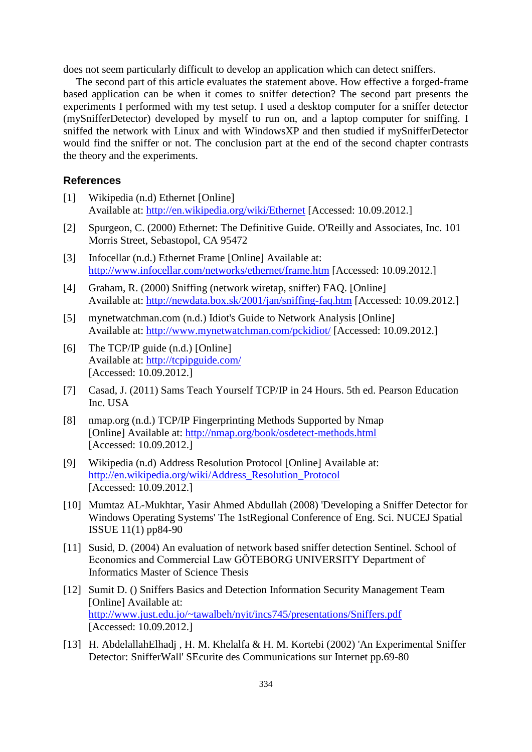does not seem particularly difficult to develop an application which can detect sniffers.

The second part of this article evaluates the statement above. How effective a forged-frame based application can be when it comes to sniffer detection? The second part presents the experiments I performed with my test setup. I used a desktop computer for a sniffer detector (mySnifferDetector) developed by myself to run on, and a laptop computer for sniffing. I sniffed the network with Linux and with WindowsXP and then studied if mySnifferDetector would find the sniffer or not. The conclusion part at the end of the second chapter contrasts the theory and the experiments.

# **References**

- [1] Wikipedia (n.d) Ethernet [Online] Available at:<http://en.wikipedia.org/wiki/Ethernet> [Accessed: 10.09.2012.]
- [2] Spurgeon, C. (2000) Ethernet: The Definitive Guide. O'Reilly and Associates, Inc. 101 Morris Street, Sebastopol, CA 95472
- [3] Infocellar (n.d.) Ethernet Frame [Online] Available at: <http://www.infocellar.com/networks/ethernet/frame.htm> [Accessed: 10.09.2012.]
- [4] Graham, R. (2000) Sniffing (network wiretap, sniffer) FAQ. [Online] Available at:<http://newdata.box.sk/2001/jan/sniffing-faq.htm> [Accessed: 10.09.2012.]
- [5] mynetwatchman.com (n.d.) Idiot's Guide to Network Analysis [Online] Available at:<http://www.mynetwatchman.com/pckidiot/> [Accessed: 10.09.2012.]
- [6] The TCP/IP guide (n.d.) [Online] Available at:<http://tcpipguide.com/> [Accessed: 10.09.2012.]
- [7] Casad, J. (2011) Sams Teach Yourself TCP/IP in 24 Hours. 5th ed. Pearson Education Inc. USA
- [8] nmap.org (n.d.) TCP/IP Fingerprinting Methods Supported by Nmap [Online] Available at:<http://nmap.org/book/osdetect-methods.html> [Accessed: 10.09.2012.]
- [9] Wikipedia (n.d) Address Resolution Protocol [Online] Available at: [http://en.wikipedia.org/wiki/Address\\_Resolution\\_Protocol](http://en.wikipedia.org/wiki/Address_Resolution_Protocol) [Accessed: 10.09.2012.]
- [10] Mumtaz AL-Mukhtar, Yasir Ahmed Abdullah (2008) 'Developing a Sniffer Detector for Windows Operating Systems' The 1stRegional Conference of Eng. Sci. NUCEJ Spatial ISSUE 11(1) pp84-90
- [11] Susid, D. (2004) An evaluation of network based sniffer detection Sentinel. School of Economics and Commercial Law GÖTEBORG UNIVERSITY Department of Informatics Master of Science Thesis
- [12] Sumit D. () Sniffers Basics and Detection Information Security Management Team [Online] Available at: <http://www.just.edu.jo/~tawalbeh/nyit/incs745/presentations/Sniffers.pdf> [Accessed: 10.09.2012.]
- [13] H. AbdelallahElhadj , H. M. Khelalfa & H. M. Kortebi (2002) 'An Experimental Sniffer Detector: SnifferWall' SEcurite des Communications sur Internet pp.69-80